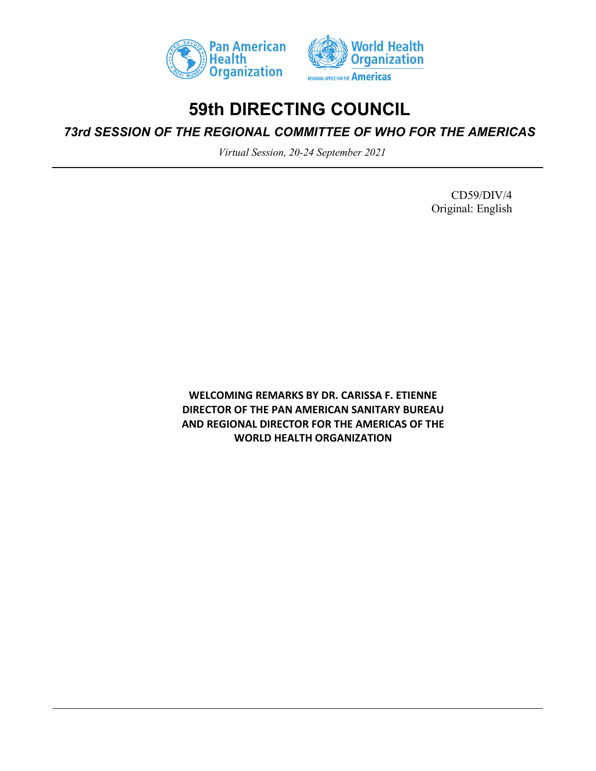



## **59th DIRECTING COUNCIL**

*73rd SESSION OF THE REGIONAL COMMITTEE OF WHO FOR THE AMERICAS*

*Virtual Session, 20-24 September 2021*

CD59/DIV/4 Original: English

**WELCOMING REMARKS BY DR. CARISSA F. ETIENNE DIRECTOR OF THE PAN AMERICAN SANITARY BUREAU AND REGIONAL DIRECTOR FOR THE AMERICAS OF THE WORLD HEALTH ORGANIZATION**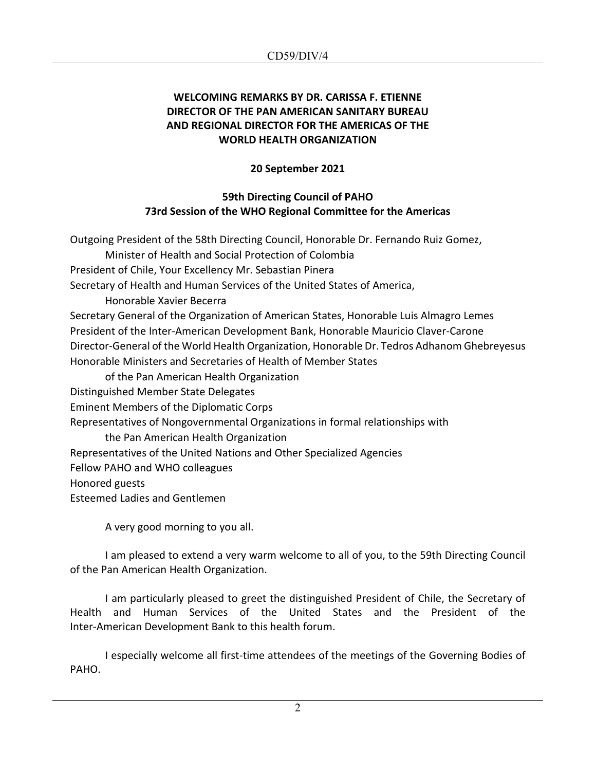## **WELCOMING REMARKS BY DR. CARISSA F. ETIENNE DIRECTOR OF THE PAN AMERICAN SANITARY BUREAU AND REGIONAL DIRECTOR FOR THE AMERICAS OF THE WORLD HEALTH ORGANIZATION**

## **20 September 2021**

## **59th Directing Council of PAHO 73rd Session of the WHO Regional Committee for the Americas**

Outgoing President of the 58th Directing Council, Honorable Dr. Fernando Ruiz Gomez, Minister of Health and Social Protection of Colombia President of Chile, Your Excellency Mr. Sebastian Pinera Secretary of Health and Human Services of the United States of America, Honorable Xavier Becerra Secretary General of the Organization of American States, Honorable Luis Almagro Lemes President of the Inter-American Development Bank, Honorable Mauricio Claver-Carone Director-General of the World Health Organization, Honorable Dr. Tedros Adhanom Ghebreyesus Honorable Ministers and Secretaries of Health of Member States of the Pan American Health Organization Distinguished Member State Delegates Eminent Members of the Diplomatic Corps Representatives of Nongovernmental Organizations in formal relationships with the Pan American Health Organization Representatives of the United Nations and Other Specialized Agencies Fellow PAHO and WHO colleagues Honored guests Esteemed Ladies and Gentlemen

A very good morning to you all.

I am pleased to extend a very warm welcome to all of you, to the 59th Directing Council of the Pan American Health Organization.

I am particularly pleased to greet the distinguished President of Chile, the Secretary of Health and Human Services of the United States and the President of the Inter-American Development Bank to this health forum.

I especially welcome all first-time attendees of the meetings of the Governing Bodies of PAHO.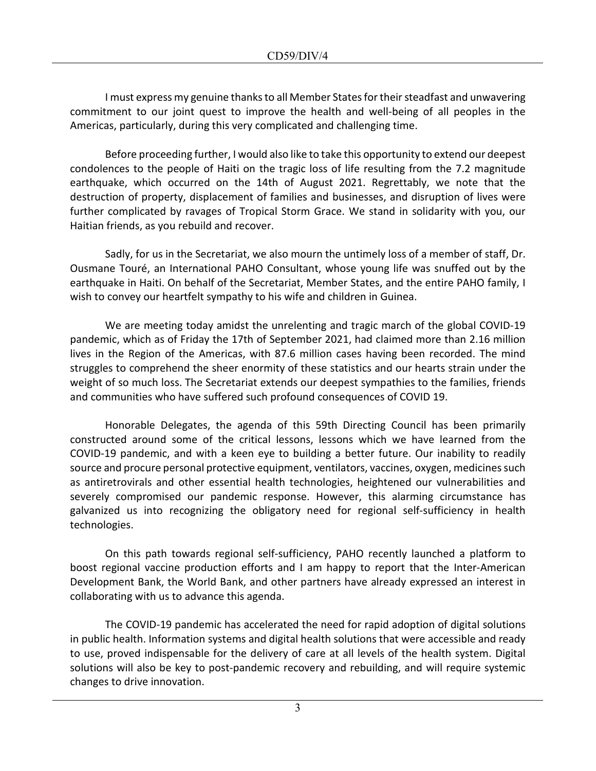I must express my genuine thanks to all Member States for their steadfast and unwavering commitment to our joint quest to improve the health and well-being of all peoples in the Americas, particularly, during this very complicated and challenging time.

Before proceeding further, I would also like to take this opportunity to extend our deepest condolences to the people of Haiti on the tragic loss of life resulting from the 7.2 magnitude earthquake, which occurred on the 14th of August 2021. Regrettably, we note that the destruction of property, displacement of families and businesses, and disruption of lives were further complicated by ravages of Tropical Storm Grace. We stand in solidarity with you, our Haitian friends, as you rebuild and recover.

Sadly, for us in the Secretariat, we also mourn the untimely loss of a member of staff, Dr. Ousmane Touré, an International PAHO Consultant, whose young life was snuffed out by the earthquake in Haiti. On behalf of the Secretariat, Member States, and the entire PAHO family, I wish to convey our heartfelt sympathy to his wife and children in Guinea.

We are meeting today amidst the unrelenting and tragic march of the global COVID-19 pandemic, which as of Friday the 17th of September 2021, had claimed more than 2.16 million lives in the Region of the Americas, with 87.6 million cases having been recorded. The mind struggles to comprehend the sheer enormity of these statistics and our hearts strain under the weight of so much loss. The Secretariat extends our deepest sympathies to the families, friends and communities who have suffered such profound consequences of COVID 19.

Honorable Delegates, the agenda of this 59th Directing Council has been primarily constructed around some of the critical lessons, lessons which we have learned from the COVID-19 pandemic, and with a keen eye to building a better future. Our inability to readily source and procure personal protective equipment, ventilators, vaccines, oxygen, medicines such as antiretrovirals and other essential health technologies, heightened our vulnerabilities and severely compromised our pandemic response. However, this alarming circumstance has galvanized us into recognizing the obligatory need for regional self-sufficiency in health technologies.

On this path towards regional self-sufficiency, PAHO recently launched a platform to boost regional vaccine production efforts and I am happy to report that the Inter-American Development Bank, the World Bank, and other partners have already expressed an interest in collaborating with us to advance this agenda.

The COVID-19 pandemic has accelerated the need for rapid adoption of digital solutions in public health. Information systems and digital health solutions that were accessible and ready to use, proved indispensable for the delivery of care at all levels of the health system. Digital solutions will also be key to post-pandemic recovery and rebuilding, and will require systemic changes to drive innovation.